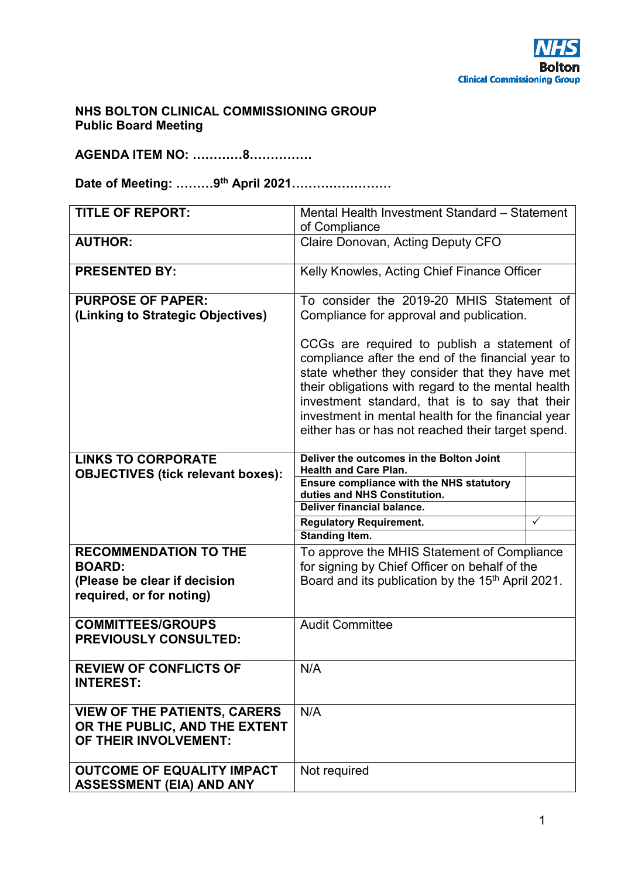## **NHS BOLTON CLINICAL COMMISSIONING GROUP Public Board Meeting**

**AGENDA ITEM NO: …………8……………** 

**Date of Meeting: ………9th April 2021……………………** 

| <b>TITLE OF REPORT:</b>                                                                       | Mental Health Investment Standard - Statement                                                                                                                                                                                                                                                                                                                         |   |
|-----------------------------------------------------------------------------------------------|-----------------------------------------------------------------------------------------------------------------------------------------------------------------------------------------------------------------------------------------------------------------------------------------------------------------------------------------------------------------------|---|
|                                                                                               | of Compliance                                                                                                                                                                                                                                                                                                                                                         |   |
| <b>AUTHOR:</b>                                                                                | Claire Donovan, Acting Deputy CFO                                                                                                                                                                                                                                                                                                                                     |   |
| <b>PRESENTED BY:</b>                                                                          | Kelly Knowles, Acting Chief Finance Officer                                                                                                                                                                                                                                                                                                                           |   |
| <b>PURPOSE OF PAPER:</b>                                                                      | To consider the 2019-20 MHIS Statement of                                                                                                                                                                                                                                                                                                                             |   |
| (Linking to Strategic Objectives)                                                             | Compliance for approval and publication.                                                                                                                                                                                                                                                                                                                              |   |
|                                                                                               | CCGs are required to publish a statement of<br>compliance after the end of the financial year to<br>state whether they consider that they have met<br>their obligations with regard to the mental health<br>investment standard, that is to say that their<br>investment in mental health for the financial year<br>either has or has not reached their target spend. |   |
| <b>LINKS TO CORPORATE</b><br><b>OBJECTIVES (tick relevant boxes):</b>                         | Deliver the outcomes in the Bolton Joint<br><b>Health and Care Plan.</b>                                                                                                                                                                                                                                                                                              |   |
|                                                                                               | <b>Ensure compliance with the NHS statutory</b><br>duties and NHS Constitution.                                                                                                                                                                                                                                                                                       |   |
|                                                                                               | Deliver financial balance.                                                                                                                                                                                                                                                                                                                                            |   |
|                                                                                               | <b>Regulatory Requirement.</b>                                                                                                                                                                                                                                                                                                                                        | ✓ |
|                                                                                               | <b>Standing Item.</b>                                                                                                                                                                                                                                                                                                                                                 |   |
| <b>RECOMMENDATION TO THE</b>                                                                  | To approve the MHIS Statement of Compliance                                                                                                                                                                                                                                                                                                                           |   |
| <b>BOARD:</b>                                                                                 | for signing by Chief Officer on behalf of the<br>Board and its publication by the 15 <sup>th</sup> April 2021.                                                                                                                                                                                                                                                        |   |
| (Please be clear if decision<br>required, or for noting)                                      |                                                                                                                                                                                                                                                                                                                                                                       |   |
| <b>COMMITTEES/GROUPS</b><br><b>PREVIOUSLY CONSULTED:</b>                                      | <b>Audit Committee</b>                                                                                                                                                                                                                                                                                                                                                |   |
| <b>REVIEW OF CONFLICTS OF</b><br><b>INTEREST:</b>                                             | N/A                                                                                                                                                                                                                                                                                                                                                                   |   |
| <b>VIEW OF THE PATIENTS, CARERS</b><br>OR THE PUBLIC, AND THE EXTENT<br>OF THEIR INVOLVEMENT: | N/A                                                                                                                                                                                                                                                                                                                                                                   |   |
| <b>OUTCOME OF EQUALITY IMPACT</b><br><b>ASSESSMENT (EIA) AND ANY</b>                          | Not required                                                                                                                                                                                                                                                                                                                                                          |   |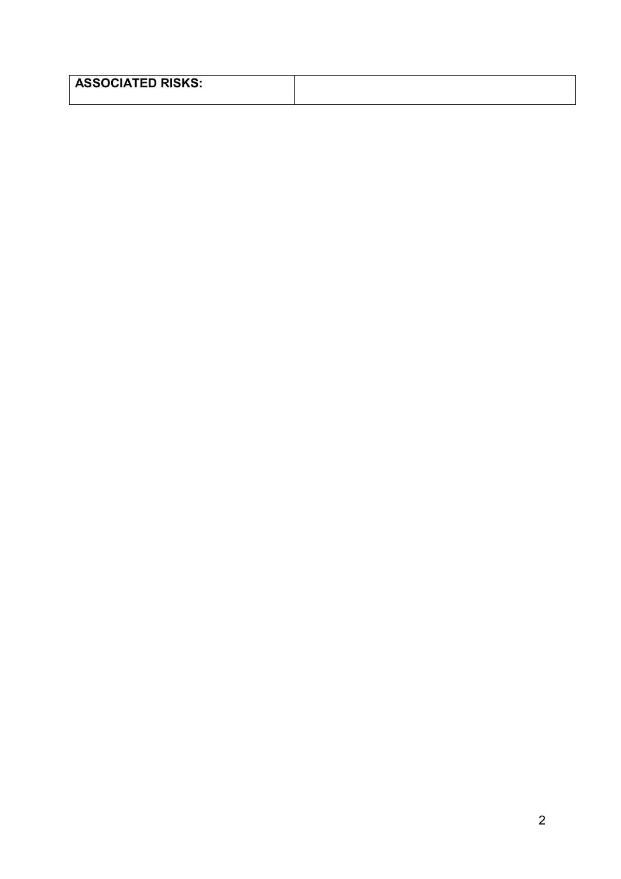| <b>ASSOCIATED RISKS:</b> |  |
|--------------------------|--|
|                          |  |